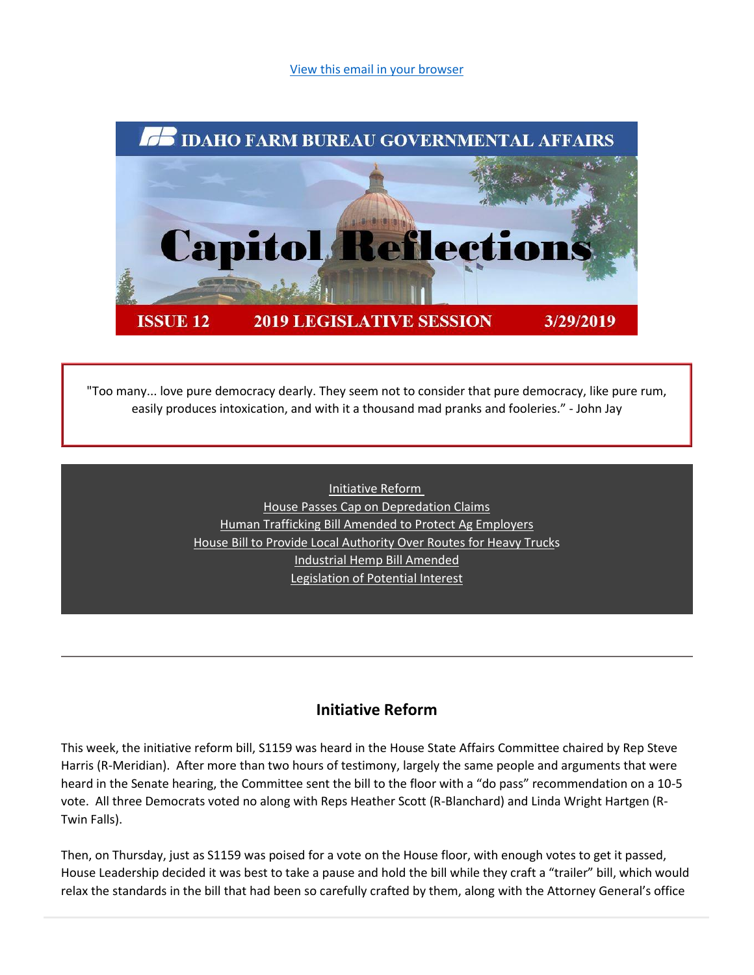[View this email in your browser](https://mailchi.mp/idahofb.org/capitol-reflections-issue-12?e=a4ab29d1bd)



"Too many... love pure democracy dearly. They seem not to consider that pure democracy, like pure rum, easily produces intoxication, and with it a thousand mad pranks and fooleries." - John Jay

> [Initiative Reform](https://mailchi.mp/idahofb.org/capitol-reflections-issue-12?e=a4ab29d1bd#Init.%20Reform) [House Passes Cap on Depredation Claims](https://mailchi.mp/idahofb.org/capitol-reflections-issue-12?e=a4ab29d1bd#House%20Passes) [Human Trafficking Bill Amended to Protect](https://mailchi.mp/idahofb.org/capitol-reflections-issue-12?e=a4ab29d1bd#Human%20Traff.) Ag Employers [House Bill to Provide Local Authority Over Routes for Heavy Trucks](https://mailchi.mp/idahofb.org/capitol-reflections-issue-12?e=a4ab29d1bd#House%20B) [Industrial Hemp Bill Amended](https://mailchi.mp/idahofb.org/capitol-reflections-issue-12?e=a4ab29d1bd#Hemp) [Legislation of Potential Interest](https://mailchi.mp/idahofb.org/capitol-reflections-issue-12?e=a4ab29d1bd#Leg%20P)

# **Initiative Reform**

This week, the initiative reform bill, S1159 was heard in the House State Affairs Committee chaired by Rep Steve Harris (R-Meridian). After more than two hours of testimony, largely the same people and arguments that were heard in the Senate hearing, the Committee sent the bill to the floor with a "do pass" recommendation on a 10-5 vote. All three Democrats voted no along with Reps Heather Scott (R-Blanchard) and Linda Wright Hartgen (R-Twin Falls).

Then, on Thursday, just as S1159 was poised for a vote on the House floor, with enough votes to get it passed, House Leadership decided it was best to take a pause and hold the bill while they craft a "trailer" bill, which would relax the standards in the bill that had been so carefully crafted by them, along with the Attorney General's office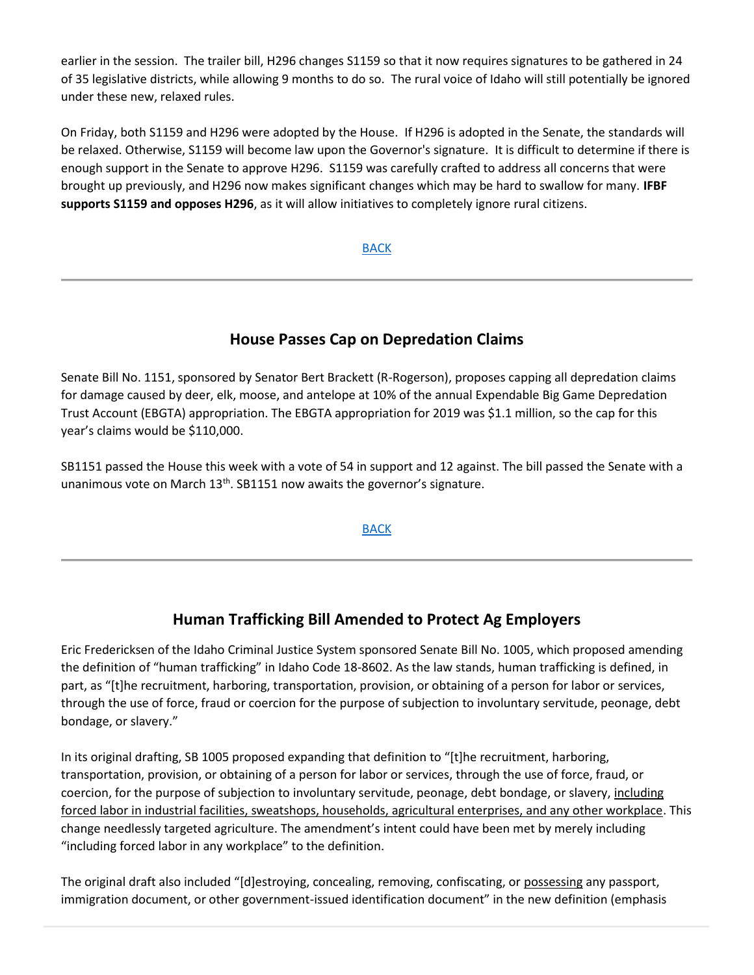earlier in the session. The trailer bill, H296 changes S1159 so that it now requires signatures to be gathered in 24 of 35 legislative districts, while allowing 9 months to do so. The rural voice of Idaho will still potentially be ignored under these new, relaxed rules.

On Friday, both S1159 and H296 were adopted by the House. If H296 is adopted in the Senate, the standards will be relaxed. Otherwise, S1159 will become law upon the Governor's signature. It is difficult to determine if there is enough support in the Senate to approve H296. S1159 was carefully crafted to address all concerns that were brought up previously, and H296 now makes significant changes which may be hard to swallow for many. **IFBF supports S1159 and opposes H296**, as it will allow initiatives to completely ignore rural citizens.

## [BACK](https://mailchi.mp/idahofb.org/capitol-reflections-issue-12?e=a4ab29d1bd#Navigation)

# **House Passes Cap on Depredation Claims**

Senate Bill No. 1151, sponsored by Senator Bert Brackett (R-Rogerson), proposes capping all depredation claims for damage caused by deer, elk, moose, and antelope at 10% of the annual Expendable Big Game Depredation Trust Account (EBGTA) appropriation. The EBGTA appropriation for 2019 was \$1.1 million, so the cap for this year's claims would be \$110,000.

SB1151 passed the House this week with a vote of 54 in support and 12 against. The bill passed the Senate with a unanimous vote on March  $13<sup>th</sup>$ . SB1151 now awaits the governor's signature.

#### [BACK](https://mailchi.mp/idahofb.org/capitol-reflections-issue-12?e=a4ab29d1bd#Navigation)

## **Human Trafficking Bill Amended to Protect Ag Employers**

Eric Fredericksen of the Idaho Criminal Justice System sponsored Senate Bill No. 1005, which proposed amending the definition of "human trafficking" in Idaho Code 18-8602. As the law stands, human trafficking is defined, in part, as "[t]he recruitment, harboring, transportation, provision, or obtaining of a person for labor or services, through the use of force, fraud or coercion for the purpose of subjection to involuntary servitude, peonage, debt bondage, or slavery."

In its original drafting, SB 1005 proposed expanding that definition to "[t]he recruitment, harboring, transportation, provision, or obtaining of a person for labor or services, through the use of force, fraud, or coercion, for the purpose of subjection to involuntary servitude, peonage, debt bondage, or slavery, including forced labor in industrial facilities, sweatshops, households, agricultural enterprises, and any other workplace. This change needlessly targeted agriculture. The amendment's intent could have been met by merely including "including forced labor in any workplace" to the definition.

The original draft also included "[d]estroying, concealing, removing, confiscating, or possessing any passport, immigration document, or other government-issued identification document" in the new definition (emphasis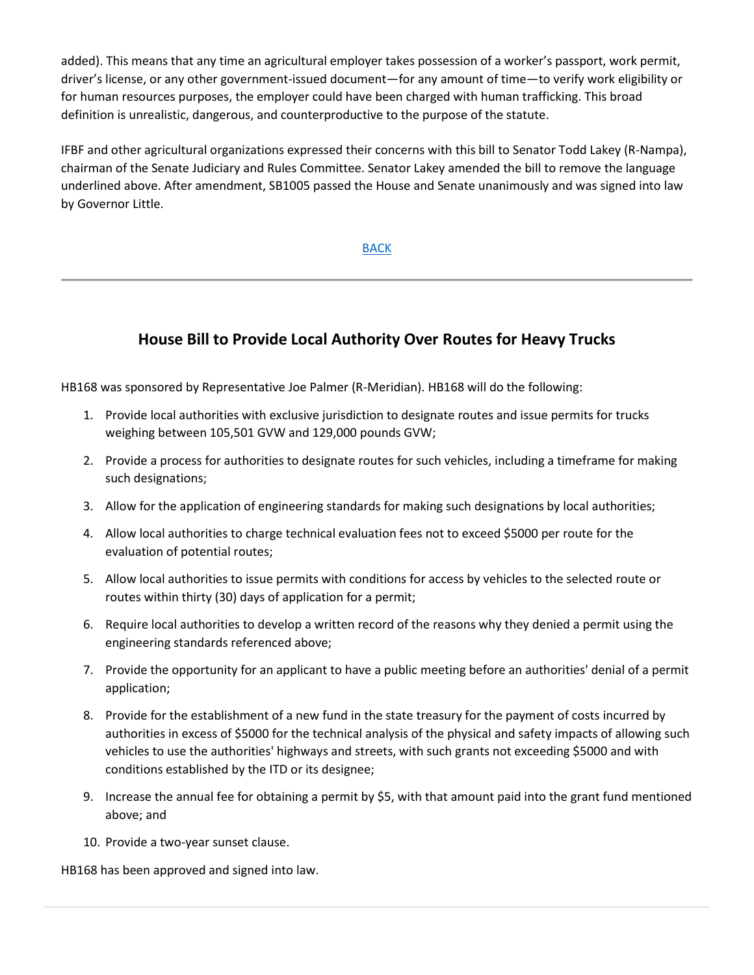added). This means that any time an agricultural employer takes possession of a worker's passport, work permit, driver's license, or any other government-issued document—for any amount of time—to verify work eligibility or for human resources purposes, the employer could have been charged with human trafficking. This broad definition is unrealistic, dangerous, and counterproductive to the purpose of the statute.

IFBF and other agricultural organizations expressed their concerns with this bill to Senator Todd Lakey (R-Nampa), chairman of the Senate Judiciary and Rules Committee. Senator Lakey amended the bill to remove the language underlined above. After amendment, SB1005 passed the House and Senate unanimously and was signed into law by Governor Little.

[BACK](https://mailchi.mp/idahofb.org/capitol-reflections-issue-12?e=a4ab29d1bd#Navigation)

# **House Bill to Provide Local Authority Over Routes for Heavy Trucks**

HB168 was sponsored by Representative Joe Palmer (R-Meridian). HB168 will do the following:

- 1. Provide local authorities with exclusive jurisdiction to designate routes and issue permits for trucks weighing between 105,501 GVW and 129,000 pounds GVW;
- 2. Provide a process for authorities to designate routes for such vehicles, including a timeframe for making such designations;
- 3. Allow for the application of engineering standards for making such designations by local authorities;
- 4. Allow local authorities to charge technical evaluation fees not to exceed \$5000 per route for the evaluation of potential routes;
- 5. Allow local authorities to issue permits with conditions for access by vehicles to the selected route or routes within thirty (30) days of application for a permit;
- 6. Require local authorities to develop a written record of the reasons why they denied a permit using the engineering standards referenced above;
- 7. Provide the opportunity for an applicant to have a public meeting before an authorities' denial of a permit application;
- 8. Provide for the establishment of a new fund in the state treasury for the payment of costs incurred by authorities in excess of \$5000 for the technical analysis of the physical and safety impacts of allowing such vehicles to use the authorities' highways and streets, with such grants not exceeding \$5000 and with conditions established by the ITD or its designee;
- 9. Increase the annual fee for obtaining a permit by \$5, with that amount paid into the grant fund mentioned above; and
- 10. Provide a two-year sunset clause.

HB168 has been approved and signed into law.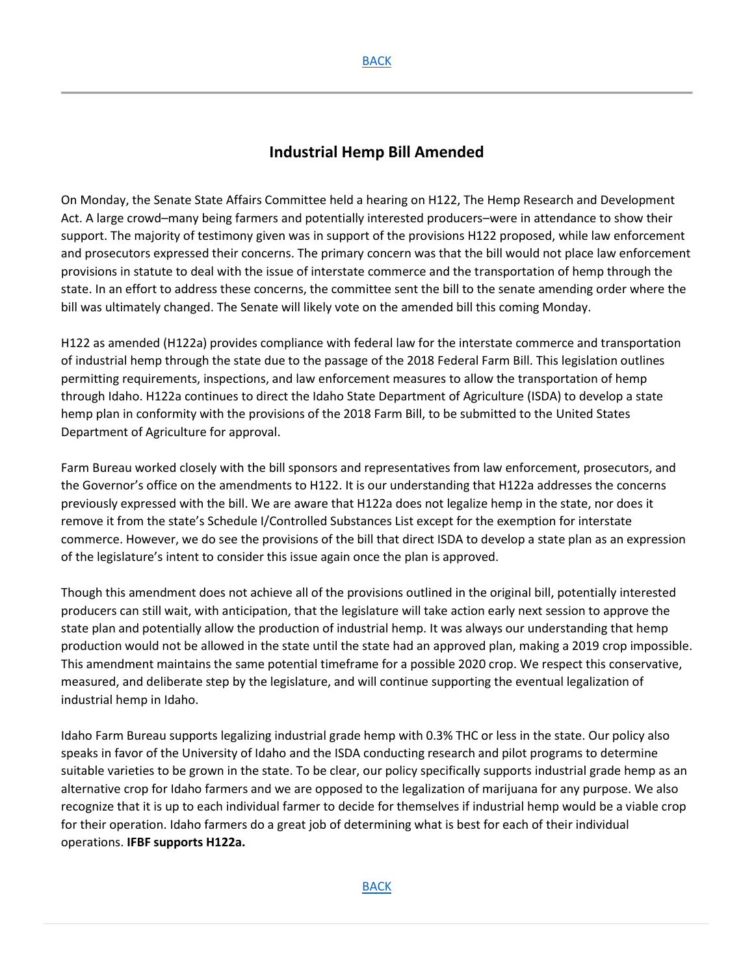# **Industrial Hemp Bill Amended**

On Monday, the Senate State Affairs Committee held a hearing on H122, The Hemp Research and Development Act. A large crowd–many being farmers and potentially interested producers–were in attendance to show their support. The majority of testimony given was in support of the provisions H122 proposed, while law enforcement and prosecutors expressed their concerns. The primary concern was that the bill would not place law enforcement provisions in statute to deal with the issue of interstate commerce and the transportation of hemp through the state. In an effort to address these concerns, the committee sent the bill to the senate amending order where the bill was ultimately changed. The Senate will likely vote on the amended bill this coming Monday.

H122 as amended (H122a) provides compliance with federal law for the interstate commerce and transportation of industrial hemp through the state due to the passage of the 2018 Federal Farm Bill. This legislation outlines permitting requirements, inspections, and law enforcement measures to allow the transportation of hemp through Idaho. H122a continues to direct the Idaho State Department of Agriculture (ISDA) to develop a state hemp plan in conformity with the provisions of the 2018 Farm Bill, to be submitted to the United States Department of Agriculture for approval.

Farm Bureau worked closely with the bill sponsors and representatives from law enforcement, prosecutors, and the Governor's office on the amendments to H122. It is our understanding that H122a addresses the concerns previously expressed with the bill. We are aware that H122a does not legalize hemp in the state, nor does it remove it from the state's Schedule I/Controlled Substances List except for the exemption for interstate commerce. However, we do see the provisions of the bill that direct ISDA to develop a state plan as an expression of the legislature's intent to consider this issue again once the plan is approved.

Though this amendment does not achieve all of the provisions outlined in the original bill, potentially interested producers can still wait, with anticipation, that the legislature will take action early next session to approve the state plan and potentially allow the production of industrial hemp. It was always our understanding that hemp production would not be allowed in the state until the state had an approved plan, making a 2019 crop impossible. This amendment maintains the same potential timeframe for a possible 2020 crop. We respect this conservative, measured, and deliberate step by the legislature, and will continue supporting the eventual legalization of industrial hemp in Idaho.

Idaho Farm Bureau supports legalizing industrial grade hemp with 0.3% THC or less in the state. Our policy also speaks in favor of the University of Idaho and the ISDA conducting research and pilot programs to determine suitable varieties to be grown in the state. To be clear, our policy specifically supports industrial grade hemp as an alternative crop for Idaho farmers and we are opposed to the legalization of marijuana for any purpose. We also recognize that it is up to each individual farmer to decide for themselves if industrial hemp would be a viable crop for their operation. Idaho farmers do a great job of determining what is best for each of their individual operations. **IFBF supports H122a.**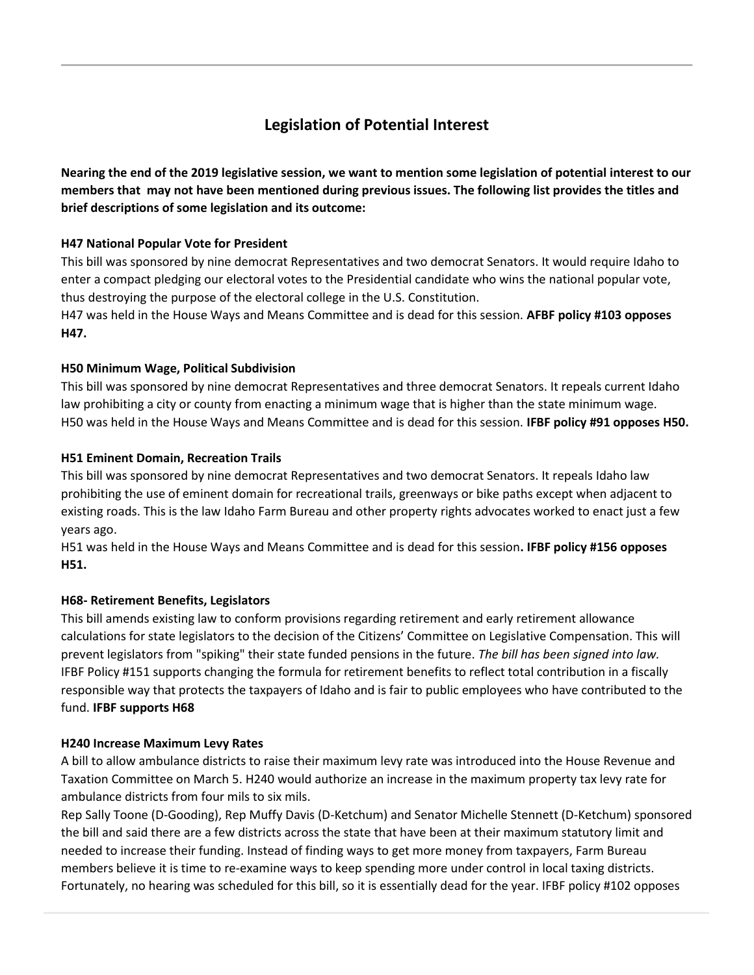# **Legislation of Potential Interest**

**Nearing the end of the 2019 legislative session, we want to mention some legislation of potential interest to our members that may not have been mentioned during previous issues. The following list provides the titles and brief descriptions of some legislation and its outcome:**

### **H47 National Popular Vote for President**

This bill was sponsored by nine democrat Representatives and two democrat Senators. It would require Idaho to enter a compact pledging our electoral votes to the Presidential candidate who wins the national popular vote, thus destroying the purpose of the electoral college in the U.S. Constitution.

H47 was held in the House Ways and Means Committee and is dead for this session. **AFBF policy #103 opposes H47.**

### **H50 Minimum Wage, Political Subdivision**

This bill was sponsored by nine democrat Representatives and three democrat Senators. It repeals current Idaho law prohibiting a city or county from enacting a minimum wage that is higher than the state minimum wage. H50 was held in the House Ways and Means Committee and is dead for this session. **IFBF policy #91 opposes H50.**

### **H51 Eminent Domain, Recreation Trails**

This bill was sponsored by nine democrat Representatives and two democrat Senators. It repeals Idaho law prohibiting the use of eminent domain for recreational trails, greenways or bike paths except when adjacent to existing roads. This is the law Idaho Farm Bureau and other property rights advocates worked to enact just a few years ago.

H51 was held in the House Ways and Means Committee and is dead for this session**. IFBF policy #156 opposes H51.**

## **H68- Retirement Benefits, Legislators**

This bill amends existing law to conform provisions regarding retirement and early retirement allowance calculations for state legislators to the decision of the Citizens' Committee on Legislative Compensation. This will prevent legislators from "spiking" their state funded pensions in the future. *The bill has been signed into law.* IFBF Policy #151 supports changing the formula for retirement benefits to reflect total contribution in a fiscally responsible way that protects the taxpayers of Idaho and is fair to public employees who have contributed to the fund. **IFBF supports H68**

#### **H240 Increase Maximum Levy Rates**

A bill to allow ambulance districts to raise their maximum levy rate was introduced into the House Revenue and Taxation Committee on March 5. H240 would authorize an increase in the maximum property tax levy rate for ambulance districts from four mils to six mils.

Rep Sally Toone (D-Gooding), Rep Muffy Davis (D-Ketchum) and Senator Michelle Stennett (D-Ketchum) sponsored the bill and said there are a few districts across the state that have been at their maximum statutory limit and needed to increase their funding. Instead of finding ways to get more money from taxpayers, Farm Bureau members believe it is time to re-examine ways to keep spending more under control in local taxing districts. Fortunately, no hearing was scheduled for this bill, so it is essentially dead for the year. IFBF policy #102 opposes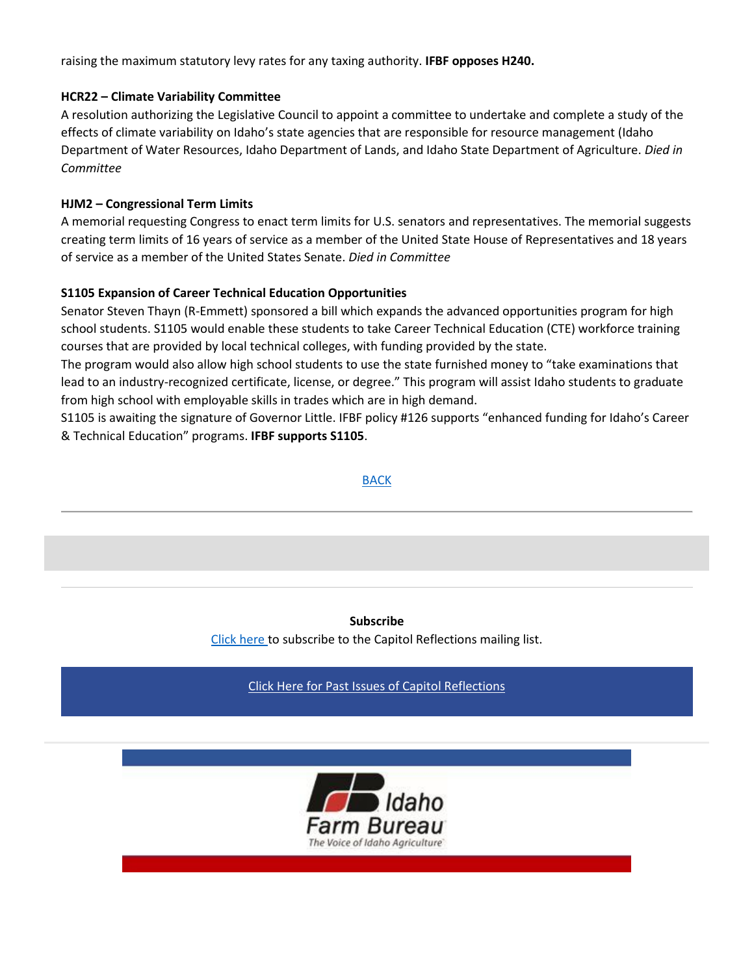raising the maximum statutory levy rates for any taxing authority. **IFBF opposes H240.**

#### **HCR22 – Climate Variability Committee**

A resolution authorizing the Legislative Council to appoint a committee to undertake and complete a study of the effects of climate variability on Idaho's state agencies that are responsible for resource management (Idaho Department of Water Resources, Idaho Department of Lands, and Idaho State Department of Agriculture. *Died in Committee*

#### **HJM2 – Congressional Term Limits**

A memorial requesting Congress to enact term limits for U.S. senators and representatives. The memorial suggests creating term limits of 16 years of service as a member of the United State House of Representatives and 18 years of service as a member of the United States Senate. *Died in Committee*

#### **S1105 Expansion of Career Technical Education Opportunities**

Senator Steven Thayn (R-Emmett) sponsored a bill which expands the advanced opportunities program for high school students. S1105 would enable these students to take Career Technical Education (CTE) workforce training courses that are provided by local technical colleges, with funding provided by the state.

The program would also allow high school students to use the state furnished money to "take examinations that lead to an industry-recognized certificate, license, or degree." This program will assist Idaho students to graduate from high school with employable skills in trades which are in high demand.

S1105 is awaiting the signature of Governor Little. IFBF policy #126 supports "enhanced funding for Idaho's Career & Technical Education" programs. **IFBF supports S1105**.

[BACK](https://mailchi.mp/idahofb.org/capitol-reflections-issue-12?e=a4ab29d1bd#Navigation)

## **Subscribe**

[Click here](mailto:ifbga@idahofb.org?subject=Subscription%3A%20Capitol%20Reflections&body=Hi%2C%0A%0APlease%20add%20me%20to%20your%20Capitol%20Reflections%20Newsletter%20email%20list.%0A%0AThank%20you!) to subscribe to the Capitol Reflections mailing list.